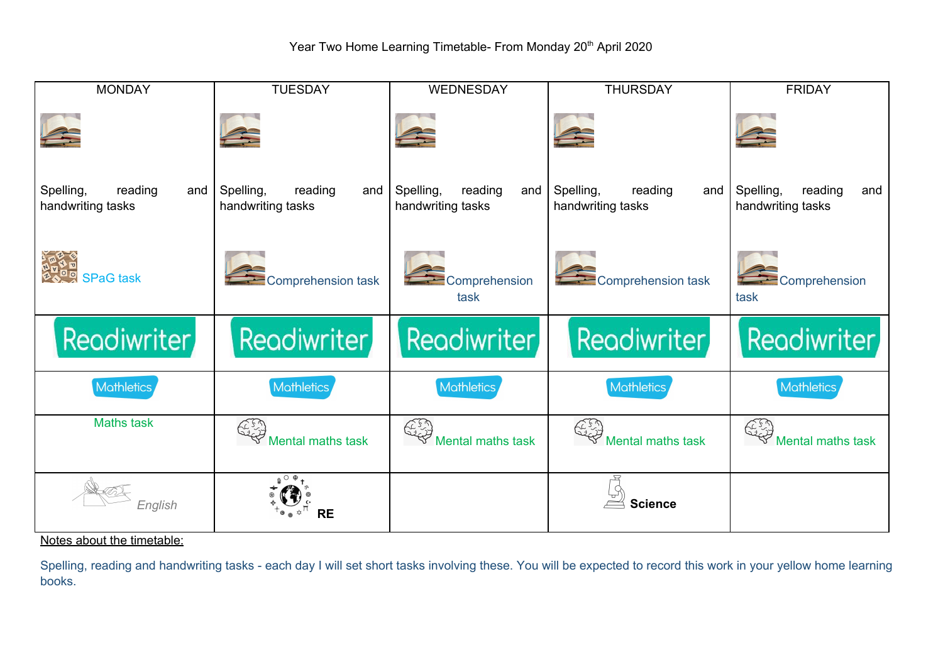| <b>MONDAY</b>                                    | <b>TUESDAY</b>                                   | <b>WEDNESDAY</b>                                 | <b>THURSDAY</b>                                  | <b>FRIDAY</b>                                    |
|--------------------------------------------------|--------------------------------------------------|--------------------------------------------------|--------------------------------------------------|--------------------------------------------------|
|                                                  |                                                  |                                                  |                                                  |                                                  |
| reading<br>Spelling,<br>and<br>handwriting tasks | Spelling,<br>reading<br>and<br>handwriting tasks | Spelling,<br>reading<br>and<br>handwriting tasks | Spelling,<br>reading<br>and<br>handwriting tasks | Spelling,<br>reading<br>and<br>handwriting tasks |
| <u>बेलरे ने</u><br>सर्वे SPaG task               | Comprehension task                               | Comprehension<br>task                            | Comprehension task                               | Comprehension<br>task                            |
| Readiwriter                                      | <b>Readiwriter</b>                               | <b>Readiwriter</b>                               | <b>Readiwriter</b>                               | Readiwriter                                      |
| Mathletics                                       | Mathletics                                       | <b>Mathletics</b>                                | Mathletics                                       | <b>Mathletics</b>                                |
| <b>Maths task</b>                                | لار د کې<br>مر<br>Mental maths task              | ES,<br>Mental maths task                         | Mental maths task                                | Mental maths task                                |
| English                                          | <b>RE</b>                                        |                                                  | <b>Science</b>                                   |                                                  |

Notes about the timetable:

Spelling, reading and handwriting tasks - each day I will set short tasks involving these. You will be expected to record this work in your yellow home learning books.